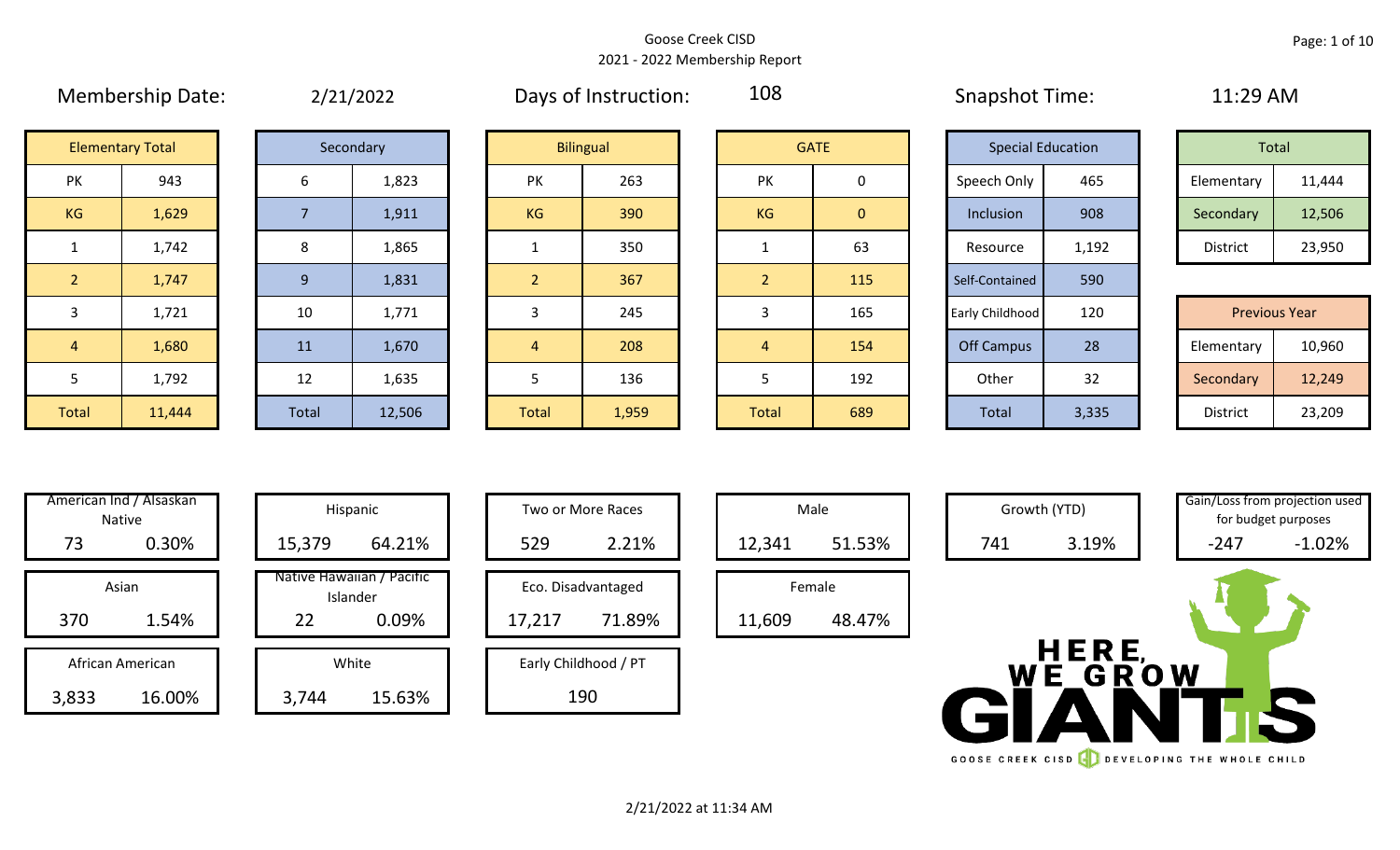#### Goose Creek CISD 2021 - 2022 Membership Report

108

# Membership Date:  $\qquad \qquad 2/21/2022$  Days of Instruction:  $\qquad \qquad 108$  Snapshot Time:  $\qquad \qquad 11:29$  AM

|             | <b>Special Education</b> |                 | Total  |
|-------------|--------------------------|-----------------|--------|
| Speech Only | 465                      | Elementary      | 11,444 |
| Inclusion   | 908                      | Secondary       | 12,506 |
| Resource    | 1,192                    | <b>District</b> | 23,950 |

|            | <b>Previous Year</b> |
|------------|----------------------|
| Elementary | 10,960               |
| Secondary  | 12,249               |
| District   | 23,209               |

|                | <b>Elementary Total</b> |       | Secondary |
|----------------|-------------------------|-------|-----------|
| PK             | 943                     | 6     |           |
| <b>KG</b>      | 1,629                   | 7     |           |
| $\mathbf{1}$   | 1,742                   | 8     |           |
| $\overline{2}$ | 1,747                   | 9     |           |
| 3              | 1,721                   | 10    |           |
| 4              | 1,680                   | 11    |           |
| 5              | 1,792                   | 12    |           |
| <b>Total</b>   | 11,444                  | Total | 1         |

|       | Secondary |
|-------|-----------|
| 6     | 1,823     |
| 7     | 1,911     |
| 8     | 1,865     |
| 9     | 1,831     |
| 10    | 1,771     |
| 11    | 1,670     |
| 12    | 1,635     |
| Total | 12,506    |

|                | <b>Elementary Total</b> |         | Secondary |                | <b>Bilingual</b> |                | <b>GATE</b>    |
|----------------|-------------------------|---------|-----------|----------------|------------------|----------------|----------------|
| PK             | 943                     | 6       | 1,823     | PK             | 263              | PK             | 0              |
| KG             | 1,629                   | 7       | 1,911     | KG             | 390              | <b>KG</b>      | $\overline{0}$ |
| $\mathbf{1}$   | 1,742                   | $\,8\,$ | 1,865     | $\mathbf{1}$   | 350              | 1              | 6:             |
| 2 <sup>1</sup> | 1,747                   | 9       | 1,831     | 2 <sup>2</sup> | 367              | $\overline{2}$ | 11             |
| $\overline{3}$ | 1,721                   | 10      | 1,771     | 3              | 245              | 3              | 16             |
| $\overline{4}$ | 1,680                   | 11      | 1,670     | $\overline{4}$ | 208              | $\overline{4}$ | 15             |
| $5\phantom{.}$ | 1,792                   | 12      | 1,635     | $5\phantom{.}$ | 136              | 5              | 19             |
| otal           | 11,444                  | Total   | 12,506    | <b>Total</b>   | 1,959            | Total          | 68             |

|                | <b>Elementary Total</b> |       | Secondary |                | <b>Bilingual</b> |           | <b>GATE</b>  | <b>Special Education</b> |       | Total                |        |
|----------------|-------------------------|-------|-----------|----------------|------------------|-----------|--------------|--------------------------|-------|----------------------|--------|
| <b>PK</b>      | 943                     | 6     | 1,823     | <b>PK</b>      | 263              | <b>PK</b> | 0            | Speech Only              | 465   | Elementary           | 11,444 |
| KG             | 1,629                   |       | 1,911     | KG             | 390              | KG        | $\mathbf{0}$ | Inclusion                | 908   | Secondary            | 12,506 |
| $\mathbf{1}$   | 1,742                   | 8     | 1,865     |                | 350              |           | 63           | Resource                 | 1,192 | District             | 23,950 |
| 2 <sup>1</sup> | 1,747                   | 9     | 1,831     | $\overline{2}$ | 367              |           | 115          | Self-Contained           | 590   |                      |        |
| $\mathbf{3}$   | 1,721                   | 10    | 1,771     |                | 245              |           | 165          | Early Childhood          | 120   | <b>Previous Year</b> |        |
| $\overline{4}$ | 1,680                   | 11    | 1,670     | $\overline{4}$ | 208              | 4         | 154          | <b>Off Campus</b>        | 28    | Elementary           | 10,960 |
| 5              | 1,792                   | 12    | 1,635     |                | 136              |           | 192          | Other                    | 32    | Secondary            | 12,249 |
| Total          | 11,444                  | Total | 12,506    | Total          | 1,959            | Total     | 689          | Total                    | 3,335 | District             | 23,209 |

|                       | American Ind / Alsaskan<br><b>Native</b> |        | Hispanic                                       |        | Two or More Races            |        | Male             |
|-----------------------|------------------------------------------|--------|------------------------------------------------|--------|------------------------------|--------|------------------|
| 73                    | 0.30%                                    | 15,379 | 64.21%                                         | 529    | 2.21%                        | 12,341 | 51.53%           |
| Asian<br>370<br>1.54% |                                          | 22     | Native Hawaiian / Pacific<br>Islander<br>0.09% | 17,217 | Eco. Disadvantaged<br>71.89% | 11,609 | Female<br>48.47% |
|                       | African American                         |        | White                                          |        | Early Childhood / PT         |        |                  |
| 3,833<br>16.00%       |                                          | 3,744  | 15.63%                                         |        | 190                          |        |                  |

|  |        | Hispanic                              |        | Two or More Races    | Mal    |  |
|--|--------|---------------------------------------|--------|----------------------|--------|--|
|  | 15,379 | 64.21%                                | 529    | 2.21%                | 12,341 |  |
|  |        | Native Hawaiian / Pacific<br>Islander |        | Eco. Disadvantaged   | Fema   |  |
|  | 22     | 0.09%                                 | 17,217 | 71.89%               | 11,609 |  |
|  |        | White                                 |        | Early Childhood / PT |        |  |
|  | 3,744  | 15.63%                                |        | 190                  |        |  |

| Hispanic                       |                      | Two or More Races  |  |  |  |  |  |
|--------------------------------|----------------------|--------------------|--|--|--|--|--|
| 64.21%                         | 529                  | 2.21%              |  |  |  |  |  |
| lawaiian / Pacific<br>Islander |                      | Eco. Disadvantaged |  |  |  |  |  |
| 0.09%                          | 17,217               | 71.89%             |  |  |  |  |  |
| White                          | Early Childhood / PT |                    |  |  |  |  |  |
| 15.63%                         |                      |                    |  |  |  |  |  |





HERE HERE

GOOSE CREEK CISD **CONTROLL SERVELOPING THE WHOLE CHILD** 

for budget purposes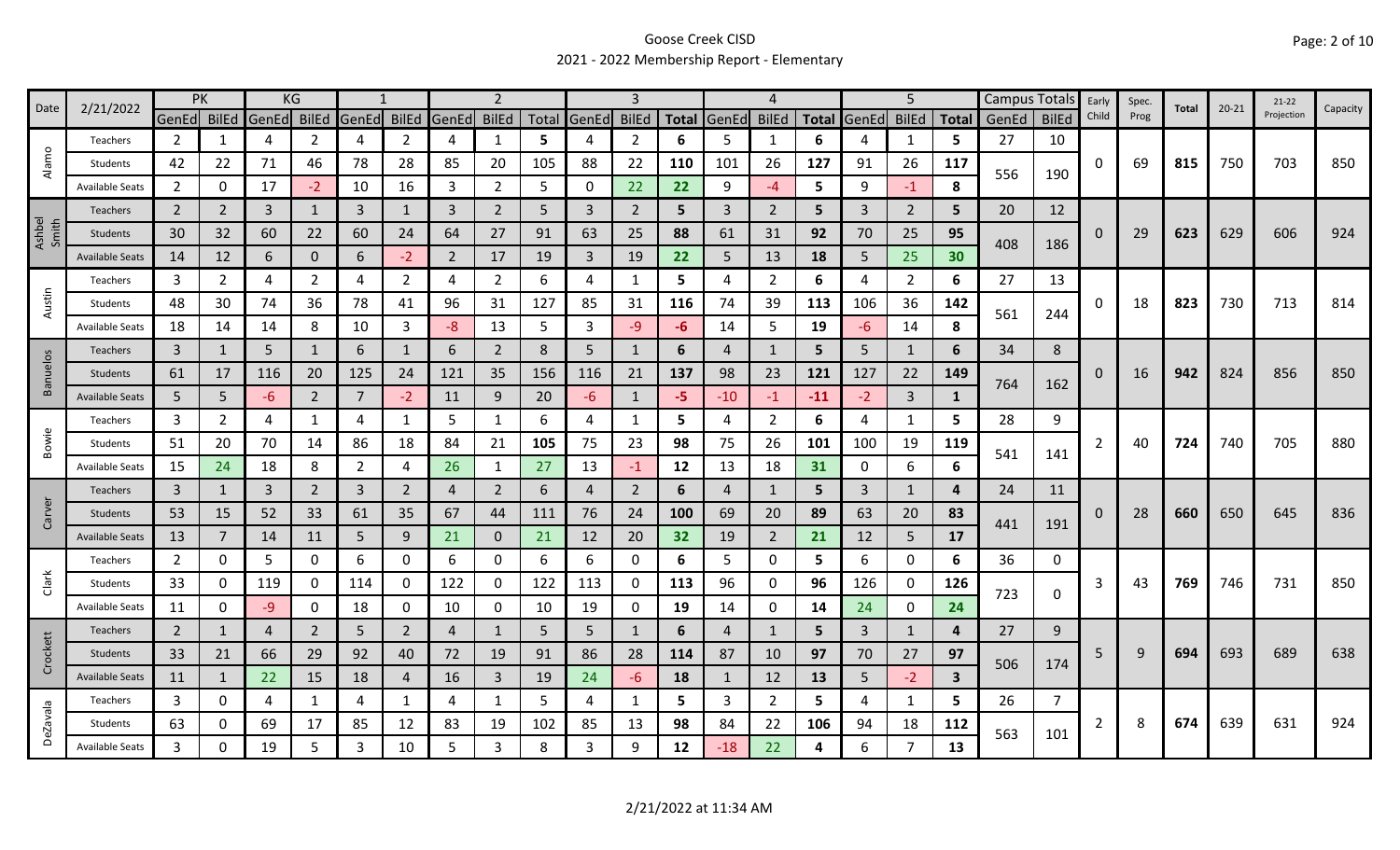#### Goose Creek CISD 2021 - 2022 Membership Report - Elementary

| Date            | 2/21/2022              | PK             |                |       | KG             |                |                |                |                |       |                |                |              |                | Δ              |              |       | 5              |              |       | Campus Totals | Early    | Spec. | Total | $20 - 21$ | $21-22$    | Capacity |
|-----------------|------------------------|----------------|----------------|-------|----------------|----------------|----------------|----------------|----------------|-------|----------------|----------------|--------------|----------------|----------------|--------------|-------|----------------|--------------|-------|---------------|----------|-------|-------|-----------|------------|----------|
|                 |                        | GenEd          | <b>BilEd</b>   | GenEd | <b>BilEd</b>   | GenEd BilEd    |                | GenEd          | <b>BilEd</b>   | Total | GenEd          | <b>BilEd</b>   | <b>Total</b> | GenEd          | <b>BilEd</b>   | <b>Total</b> | GenEd | <b>BilEd</b>   | <b>Total</b> | GenEd | <b>BilEd</b>  | Child    | Prog  |       |           | Projection |          |
| $\circ$         | Teachers               | 2              | 1              | 4     | $\mathfrak z$  | 4              | $\overline{2}$ | Δ              | 1              | 5     | 4              | 2              | 6            | 5              | -1             | 6            | 4     | 1              | 5            | 27    | 10            |          |       |       |           |            |          |
| Alam            | Students               | 42             | 22             | 71    | 46             | 78             | 28             | 85             | 20             | 105   | 88             | 22             | 110          | 101            | 26             | 127          | 91    | 26             | 117          | 556   | 190           | 0        | 69    | 815   | 750       | 703        | 850      |
|                 | <b>Available Seats</b> | $\overline{2}$ | $\Omega$       | 17    | $-2$           | 10             | 16             | 3              | $\overline{2}$ | 5     | $\mathbf 0$    | 22             | 22           | 9              | $-4$           | 5            | 9     | $-1$           | 8            |       |               |          |       |       |           |            |          |
|                 | Teachers               | $\overline{2}$ | 2              | 3     | 1              | 3              | $\mathbf{1}$   | 3              | $\overline{2}$ | 5     | 3              | $\overline{2}$ | 5            | 3              | 2              | 5            | 3     | $\overline{2}$ | 5.           | 20    | 12            |          |       |       |           |            |          |
| Ashbel<br>Smith | Students               | 30             | 32             | 60    | 22             | 60             | 24             | 64             | 27             | 91    | 63             | 25             | 88           | 61             | 31             | 92           | 70    | 25             | 95           | 408   |               | 0        | 29    | 623   | 629       | 606        | 924      |
|                 | <b>Available Seats</b> | 14             | 12             | 6     | 0              | 6              | $-2$           | $\overline{2}$ | 17             | 19    | $\overline{3}$ | 19             | 22           | 5              | 13             | 18           | 5     | 25             | 30           |       | 186           |          |       |       |           |            |          |
|                 | Teachers               | 3              | 2              | 4     | $\overline{2}$ | 4              | $\overline{2}$ | 4              | $\overline{2}$ | 6     | 4              | 1              | 5            | 4              | 2              | 6            | 4     | $\overline{2}$ | 6            | 27    | 13            |          |       |       |           |            |          |
| Austin          | Students               | 48             | 30             | 74    | 36             | 78             | 41             | 96             | 31             | 127   | 85             | 31             | 116          | 74             | 39             | 113          | 106   | 36             | 142          | 561   |               | 0        | 18    | 823   | 730       | 713        | 814      |
|                 | <b>Available Seats</b> | 18             | 14             | 14    | 8              | 10             | $\mathbf{3}$   | -8             | 13             | 5     | 3              | -9             | -6           | 14             | 5              | 19           | -6    | 14             | 8            |       | 244           |          |       |       |           |            |          |
|                 | Teachers               | $\overline{3}$ | 1              | 5     | 1              | 6              | 1              | 6              | $\overline{2}$ | 8     | 5              | 1              | 6            | 4              | 1              | 5            | 5     | 1              | 6            | 34    | 8             |          |       |       |           |            |          |
| <b>Banuelos</b> | Students               | 61             | 17             | 116   | 20             | 125            | 24             | 121            | 35             | 156   | 116            | 21             | 137          | 98             | 23             | 121          | 127   | 22             | 149          |       |               | $\Omega$ | 16    | 942   | 824       | 856        | 850      |
|                 | <b>Available Seats</b> | 5              | 5              | -6    | $\overline{2}$ | 7              | $-2$           | 11             | 9              | 20    | $-6$           | 1              | -5           | $-10$          | $-1$           | $-11$        | $-2$  | $\overline{3}$ |              | 764   | 162           |          |       |       |           |            |          |
|                 | Teachers               | 3              | $\overline{2}$ | 4     |                | 4              | $\mathbf{1}$   | 5              | $\mathbf{1}$   | 6     | 4              |                | 5            | 4              | $\overline{2}$ | 6            | 4     | $\mathbf{1}$   | 5            | 28    | 9             |          |       |       |           |            |          |
| Bowie           | Students               | 51             | 20             | 70    | 14             | 86             | 18             | 84             | 21             | 105   | 75             | 23             | 98           | 75             | 26             | 101          | 100   | 19             | 119          |       |               | 2        | 40    | 724   | 740       | 705        | 880      |
|                 | <b>Available Seats</b> | 15             | 24             | 18    | 8              | $\overline{2}$ | 4              | 26             | 1              | 27    | 13             | -1             | 12           | 13             | 18             | 31           | 0     | 6              | 6            | 541   | 141           |          |       |       |           |            |          |
|                 | <b>Teachers</b>        | 3              | $\mathbf{1}$   | 3     | $\overline{2}$ | 3              | $\overline{2}$ | 4              | $\overline{2}$ | 6     | $\overline{a}$ | $\overline{2}$ | 6            | 4              | 1              | 5            | 3     | $\mathbf{1}$   | 4            | 24    | 11            |          |       |       |           |            |          |
| Carver          | Students               | 53             | 15             | 52    | 33             | 61             | 35             | 67             | 44             | 111   | 76             | 24             | 100          | 69             | 20             | 89           | 63    | 20             | 83           |       |               | O        | 28    | 660   | 650       | 645        | 836      |
|                 | <b>Available Seats</b> | 13             | 7              | 14    | 11             | 5              | 9              | 21             | $\mathbf 0$    | 21    | 12             | 20             | 32           | 19             | $\overline{2}$ | 21           | 12    | 5              | 17           | 441   | 191           |          |       |       |           |            |          |
|                 | Teachers               | $\overline{2}$ | 0              | 5     | 0              | 6              | 0              | 6              | 0              | 6     | 6              | 0              | 6            | 5              | 0              | 5            | 6     | 0              | 6            | 36    | 0             |          |       |       |           |            |          |
| Clark           | Students               | 33             | Ω              | 119   | 0              | 114            | 0              | 122            | 0              | 122   | 113            | 0              | 113          | 96             | 0              | 96           | 126   | 0              | 126          |       |               | 3        | 43    | 769   | 746       | 731        | 850      |
|                 | <b>Available Seats</b> | 11             | 0              | -9    | 0              | 18             | 0              | 10             | $\mathbf 0$    | 10    | 19             | 0              | 19           | 14             | 0              | 14           | 24    | $\mathbf 0$    | 24           | 723   | $\mathbf 0$   |          |       |       |           |            |          |
|                 | Teachers               | $\overline{2}$ | $\mathbf{1}$   | 4     | $\overline{2}$ | 5              | $2^{\circ}$    | 4              | $\mathbf{1}$   | 5     | 5              | 1              | 6            | $\overline{4}$ | $\mathbf{1}$   | 5            | 3     | $\mathbf{1}$   | 4            | 27    | 9             |          |       |       |           |            |          |
| Crockett        | Students               | 33             | 21             | 66    | 29             | 92             | 40             | 72             | 19             | 91    | 86             | 28             | 114          | 87             | 10             | 97           | 70    | 27             | 97           |       |               | 5        | 9     | 694   | 693       | 689        | 638      |
|                 | <b>Available Seats</b> | 11             | 1              | 22    | 15             | 18             | $\overline{4}$ | 16             | $\mathbf{3}$   | 19    | 24             | $-6$           | 18           | 1              | 12             | 13           | 5     | $-2$           | 3            | 506   | 174           |          |       |       |           |            |          |
|                 | Teachers               | 3              | 0              | 4     | 1              | 4              | $\mathbf{1}$   | 4              | $\mathbf{1}$   | 5     | 4              | 1              | 5            | 3              | $\overline{2}$ | 5.           | 4     | 1              | 5.           | 26    | 7             |          |       |       |           |            |          |
| <b>DeZavala</b> | Students               | 63             | 0              | 69    | 17             | 85             | 12             | 83             | 19             | 102   | 85             | 13             | 98           | 84             | 22             | 106          | 94    | 18             | 112          |       |               | 2        | 8     | 674   | 639       | 631        | 924      |
|                 | Available Seats        | 3              |                | 19    | 5              | 3              | 10             | 5              | 3              | 8     | 3              | q              | 12           | $-18$          | 22             | 4            | 6     | $\overline{7}$ | 13           | 563   | 101           |          |       |       |           |            |          |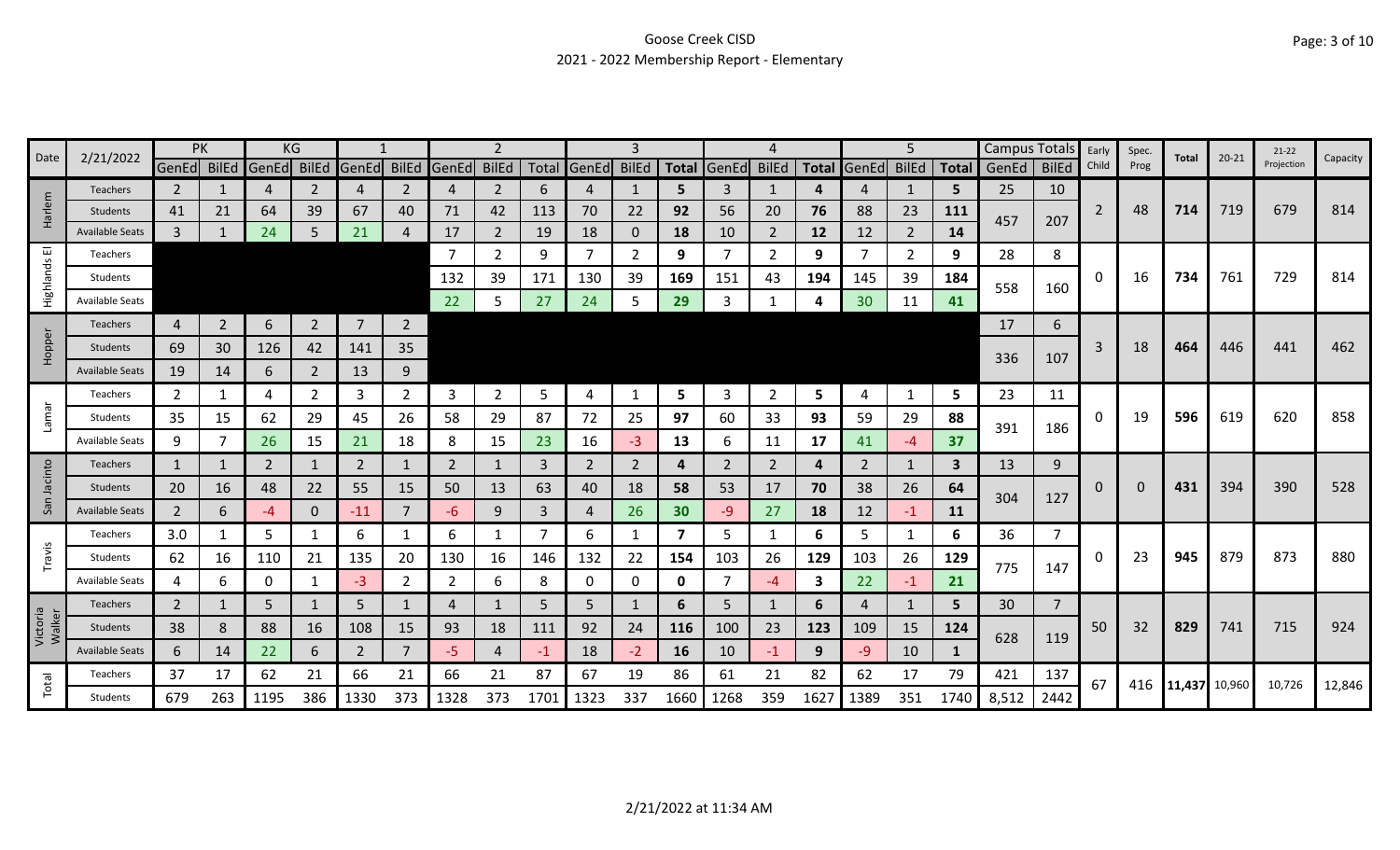# Goose Creek CISD 2021 - 2022 Membership Report - Elementary

|                    |                        | PK             |                |                | KG             |                |                |                         | 2              |                |                   |                |              |                |                |              |                | 5              |              | Campus Totals |                | Early          | Spec.    |               | $20 - 21$ | $21 - 22$  |          |
|--------------------|------------------------|----------------|----------------|----------------|----------------|----------------|----------------|-------------------------|----------------|----------------|-------------------|----------------|--------------|----------------|----------------|--------------|----------------|----------------|--------------|---------------|----------------|----------------|----------|---------------|-----------|------------|----------|
| Date               | 2/21/2022              | GenEd          | <b>BilEd</b>   | GenEd          | <b>BilEd</b>   |                |                | GenEd BilEd GenEd BilEd |                |                | Total GenEd BilEd |                | <b>Total</b> | GenEd          | BilEd          | <b>Total</b> | GenEd          | <b>BilEd</b>   | <b>Total</b> | GenEd         | <b>BilEd</b>   | Child          | Prog     | Total         |           | Projection | Capacity |
|                    | <b>Teachers</b>        | $\overline{2}$ |                | 4              |                | 4              | 2              | 4                       | $\overline{2}$ | 6              | $\overline{4}$    |                | 5.           | 3              | 1              | 4            | 4              | $\mathbf{1}$   | 5            | 25            | 10             |                |          |               |           |            |          |
| Harlem             | Students               | 41             | 21             | 64             | 39             | 67             | 40             | 71                      | 42             | 113            | 70                | 22             | 92           | 56             | 20             | 76           | 88             | 23             | 111          | 457           | 207            | $\overline{2}$ | 48       | 714           | 719       | 679        | 814      |
|                    | <b>Available Seats</b> | $\overline{3}$ |                | 24             |                | 21             |                | 17                      | $\overline{2}$ | 19             | 18                | 0              | 18           | 10             | 2              | 12           | 12             | $\overline{2}$ | 14           |               |                |                |          |               |           |            |          |
|                    | <b>Teachers</b>        |                |                |                |                |                |                | 7                       | 2              | 9              | $\overline{7}$    | $\overline{2}$ | 9            |                | 2              | 9            | 7              | 2              | 9            | 28            | 8              |                |          |               |           |            |          |
| Highlands El       | Students               |                |                |                |                |                |                | 132                     | 39             | 171            | 130               | 39             | 169          | 151            | 43             | 194          | 145            | 39             | 184          | 558           | 160            | 0              | 16       | 734           | 761       | 729        | 814      |
|                    | <b>Available Seats</b> |                |                |                |                |                |                | 22                      | 5              | 27             | 24                | 5              | 29           |                |                |              | 30             | 11             | 41           |               |                |                |          |               |           |            |          |
|                    | <b>Teachers</b>        | 4              | $\overline{2}$ | 6              | $\overline{2}$ | $\overline{7}$ | $\overline{2}$ |                         |                |                |                   |                |              |                |                |              |                |                |              | 17            | 6              |                |          |               |           |            |          |
| Hopper             | Students               | 69             | 30             | 126            | 42             | 141            | 35             |                         |                |                |                   |                |              |                |                |              |                |                |              |               |                | 3              | 18       | 464           | 446       | 441        | 462      |
|                    | <b>Available Seats</b> | 19             | 14             | 6              | 2              | 13             | 9              |                         |                |                |                   |                |              |                |                |              |                |                |              | 336           | 107            |                |          |               |           |            |          |
|                    | Teachers               | 2              | -1             | 4              |                | 3              | 2              | 3                       | $\overline{2}$ | 5              | 4                 |                | 5            | 3              | 2              | 5            | 4              | $\mathbf{1}$   | 5            | 23            | 11             |                |          |               |           |            |          |
| Lamar              | Students               | 35             | 15             | 62             | 29             | 45             | 26             | 58                      | 29             | 87             | 72                | 25             | 97           | 60             | 33             | 93           | 59             | 29             | 88           |               |                | 0              | 19       | 596           | 619       | 620        | 858      |
|                    | <b>Available Seats</b> | 9              | 7              | 26             | 15             | 21             | 18             | 8                       | 15             | 23             | 16                | $-3$           | 13           | 6              | 11             | 17           | 41             | $-4$           | 37           | 391           | 186            |                |          |               |           |            |          |
|                    | Teachers               | $\mathbf{1}$   |                | $\overline{2}$ |                | $\overline{2}$ |                | $\overline{2}$          | $\mathbf{1}$   | $\overline{3}$ | $\overline{2}$    | 2              | 4            | $\overline{2}$ | $\overline{2}$ | 4            | $\overline{2}$ | $\mathbf{1}$   | 3            | 13            | 9              |                |          |               |           |            |          |
| Jacinto            | Students               | 20             | 16             | 48             | 22             | 55             | 15             | 50                      | 13             | 63             | 40                | 18             | 58           | 53             | 17             | 70           | 38             | 26             | 64           |               |                | $\Omega$       | $\Omega$ | 431           | 394       | 390        | 528      |
| San                | <b>Available Seats</b> | $\overline{2}$ | 6              | $-4$           | 0              | $-11$          | $\overline{7}$ | -6                      | 9              | $\overline{3}$ | $\overline{4}$    | 26             | 30           | -9             | 27             | 18           | 12             | $-1$           | 11           | 304           | 127            |                |          |               |           |            |          |
|                    | Teachers               | 3.0            | 1              | 5              |                | 6              |                | 6                       | 1              |                | 6                 |                | 7            | 5.             | 1              | 6            | 5              | -1             | 6            | 36            | $\overline{7}$ |                |          |               |           |            |          |
| Travis             | Students               | 62             | 16             | 110            | 21             | 135            | 20             | 130                     | 16             | 146            | 132               | 22             | 154          | 103            | 26             | 129          | 103            | 26             | 129          |               |                | 0              | 23       | 945           | 879       | 873        | 880      |
|                    | Available Seats        | 4              | 6              | 0              |                | $-3$           | $\overline{2}$ | $\overline{2}$          | 6              | 8              | 0                 | 0              | 0            |                | -4             | 3            | 22             | $-1$           | 21           | 775           | 147            |                |          |               |           |            |          |
|                    | Teachers               | $\overline{2}$ |                | 5              |                | 5              |                | 4                       |                | -5             | 5                 |                | 6            | 5.             |                | 6            | 4              |                | 5            | 30            | $\overline{7}$ |                |          |               |           |            |          |
| Victoria<br>Walker | Students               | 38             | 8              | 88             | 16             | 108            | 15             | 93                      | 18             | 111            | 92                | 24             | 116          | 100            | 23             | 123          | 109            | 15             | 124          |               |                | 50             | 32       | 829           | 741       | 715        | 924      |
|                    | <b>Available Seats</b> | 6              | 14             | 22             | 6              | $\overline{2}$ |                | -5                      | 4              | -1             | 18                | -2             | 16           | 10             | -1             | 9            | -9             | 10             | 1            | 628           | 119            |                |          |               |           |            |          |
|                    | Teachers               | 37             | 17             | 62             | 21             | 66             | 21             | 66                      | 21             | 87             | 67                | 19             | 86           | 61             | 21             | 82           | 62             | 17             | 79           | 421           | 137            |                |          |               |           |            |          |
| Total              | Students               | 679            | 263            | 1195           | 386            | 1330           | 373            | 1328                    | 373            | 1701           | 1323              | 337            | 1660         | 1268           | 359            | 1627         | 1389           | 351            | 1740         | 8,512         | 2442           | 67             | 416      | 11,437 10,960 |           | 10,726     | 12,846   |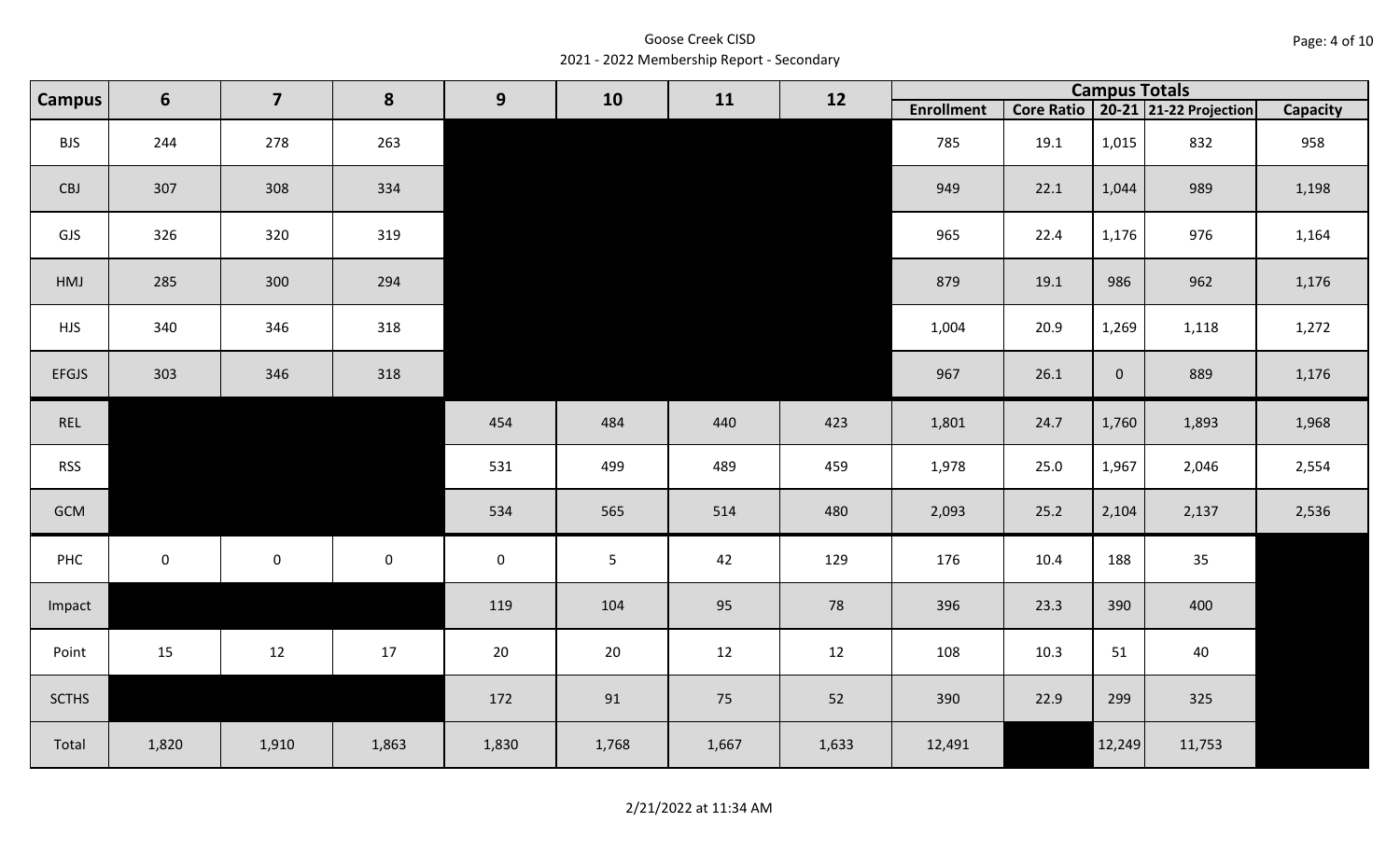Goose Creek CISD 2021 - 2022 Membership Report - Secondary

| <b>Campus</b> | 6         | $\overline{\mathbf{z}}$ | 8           | 9           | 10             | 11    | 12    |                   |      | <b>Campus Totals</b> |                                       |          |
|---------------|-----------|-------------------------|-------------|-------------|----------------|-------|-------|-------------------|------|----------------------|---------------------------------------|----------|
|               |           |                         |             |             |                |       |       | <b>Enrollment</b> |      |                      | Core Ratio   20-21   21-22 Projection | Capacity |
| <b>BJS</b>    | 244       | 278                     | 263         |             |                |       |       | 785               | 19.1 | 1,015                | 832                                   | 958      |
| CBJ           | 307       | 308                     | 334         |             |                |       |       | 949               | 22.1 | 1,044                | 989                                   | 1,198    |
| GJS           | 326       | 320                     | 319         |             |                |       |       | 965               | 22.4 | 1,176                | 976                                   | 1,164    |
| HMJ           | 285       | 300                     | 294         |             |                |       |       | 879               | 19.1 | 986                  | 962                                   | 1,176    |
| <b>HJS</b>    | 340       | 346                     | 318         |             |                |       |       | 1,004             | 20.9 | 1,269                | 1,118                                 | 1,272    |
| <b>EFGJS</b>  | 303       | 346                     | 318         |             |                |       |       | 967               | 26.1 | $\overline{0}$       | 889                                   | 1,176    |
| REL           |           |                         |             | 454         | 484            | 440   | 423   | 1,801             | 24.7 | 1,760                | 1,893                                 | 1,968    |
| <b>RSS</b>    |           |                         |             | 531         | 499            | 489   | 459   | 1,978             | 25.0 | 1,967                | 2,046                                 | 2,554    |
| GCM           |           |                         |             | 534         | 565            | 514   | 480   | 2,093             | 25.2 | 2,104                | 2,137                                 | 2,536    |
| PHC           | $\pmb{0}$ | $\mathbf 0$             | $\mathbf 0$ | $\mathbf 0$ | $\overline{5}$ | 42    | 129   | 176               | 10.4 | 188                  | 35                                    |          |
| Impact        |           |                         |             | 119         | 104            | 95    | 78    | 396               | 23.3 | 390                  | 400                                   |          |
| Point         | 15        | 12                      | 17          | $20\,$      | 20             | 12    | 12    | 108               | 10.3 | 51                   | 40                                    |          |
| <b>SCTHS</b>  |           |                         |             | 172         | 91             | 75    | 52    | 390               | 22.9 | 299                  | 325                                   |          |
| Total         | 1,820     | 1,910                   | 1,863       | 1,830       | 1,768          | 1,667 | 1,633 | 12,491            |      | 12,249               | 11,753                                |          |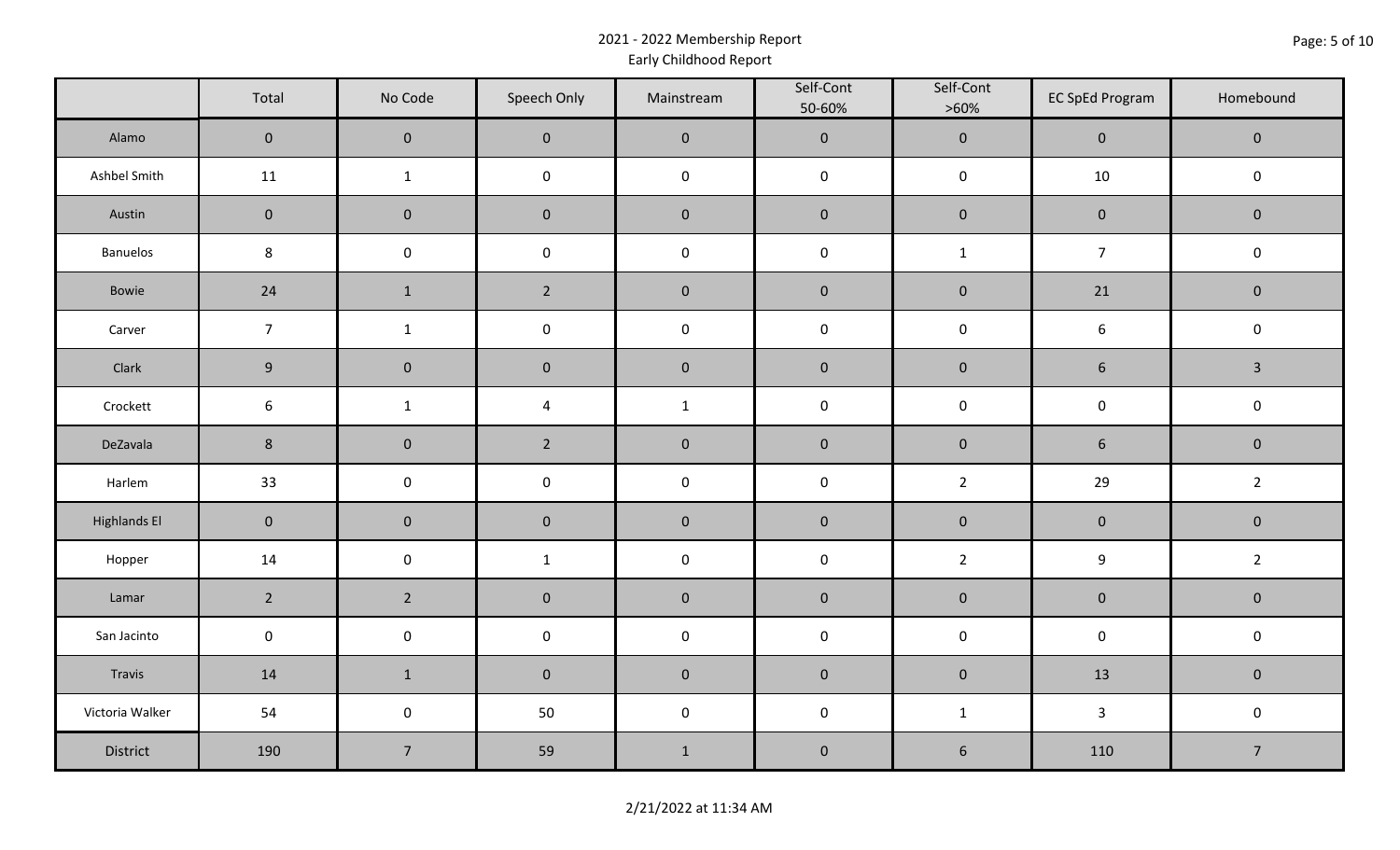# 2021 - 2022 Membership Report Early Childhood Report

|                     | Total            | No Code        | Speech Only             | Mainstream       | Self-Cont<br>50-60% | Self-Cont<br>$>60\%$ | <b>EC SpEd Program</b> | Homebound      |  |
|---------------------|------------------|----------------|-------------------------|------------------|---------------------|----------------------|------------------------|----------------|--|
| Alamo               | $\mathbf 0$      | $\pmb{0}$      | $\mathbf 0$             | $\mathbf 0$      | $\mathbf{0}$        | $\mathbf 0$          | $\mathbf 0$            | $\overline{0}$ |  |
| Ashbel Smith        | 11               | $\mathbf{1}$   | $\mathsf 0$             | $\boldsymbol{0}$ | $\mathbf 0$         | $\mathsf 0$          | 10                     | $\mathbf 0$    |  |
| Austin              | $\pmb{0}$        | $\pmb{0}$      | $\pmb{0}$               | $\pmb{0}$        | $\pmb{0}$           | $\pmb{0}$            | $\mathbf 0$            | $\mathbf 0$    |  |
| Banuelos            | $\bf 8$          | $\pmb{0}$      | $\mathsf{O}\xspace$     | $\mathbf 0$      | $\pmb{0}$           | $\mathbf{1}$         | $\overline{7}$         | $\mathbf 0$    |  |
| Bowie               | 24               | $\mathbf 1$    | $\overline{2}$          | $\pmb{0}$        | $\pmb{0}$           | $\mathbf 0$          | 21                     | $\mathbf 0$    |  |
| Carver              | $\overline{7}$   | $\mathbf{1}$   | $\pmb{0}$               | $\pmb{0}$        | $\pmb{0}$           | $\pmb{0}$            | $\boldsymbol{6}$       | $\mathbf 0$    |  |
| Clark               | $9\,$            | $\pmb{0}$      | $\pmb{0}$               | $\pmb{0}$        | $\pmb{0}$           | $\mathbf 0$          | $\sqrt{6}$             | $\mathbf{3}$   |  |
| Crockett            | $\boldsymbol{6}$ | $\mathbf{1}$   | $\overline{\mathbf{4}}$ | $\mathbf{1}$     | $\mathbf 0$         | $\mathbf 0$          | $\mathsf{O}\xspace$    | $\mathsf 0$    |  |
| DeZavala            | $\bf 8$          | $\pmb{0}$      | $\overline{2}$          | $\pmb{0}$        | $\mathbf 0$         | $\mathbf 0$          | $\sqrt{6}$             | $\mathbf 0$    |  |
| Harlem              | 33               | $\pmb{0}$      | $\mathsf{O}\xspace$     | $\mathbf 0$      | $\mathbf 0$         | $\overline{2}$       | 29                     | $\overline{2}$ |  |
| <b>Highlands El</b> | $\pmb{0}$        | $\pmb{0}$      | $\pmb{0}$               | $\pmb{0}$        | $\pmb{0}$           | $\mathbf 0$          | $\mathbf 0$            | $\mathbf 0$    |  |
| Hopper              | 14               | $\pmb{0}$      | $\mathbf{1}$            | $\mathbf 0$      | $\pmb{0}$           | $\overline{2}$       | $\boldsymbol{9}$       | $\overline{2}$ |  |
| Lamar               | $2^{\circ}$      | $\overline{2}$ | $\pmb{0}$               | $\pmb{0}$        | $\mathbf 0$         | $\mathbf 0$          | $\mathbf 0$            | $\mathbf 0$    |  |
| San Jacinto         | $\pmb{0}$        | $\pmb{0}$      | $\pmb{0}$               | $\pmb{0}$        | $\pmb{0}$           | $\pmb{0}$            | $\pmb{0}$              | $\mathbf 0$    |  |
| Travis              | 14               | $1\,$          | $\pmb{0}$               | $\pmb{0}$        | $\pmb{0}$           | $\mathbf 0$          | 13                     | $\mathbf 0$    |  |
| Victoria Walker     | 54               | $\pmb{0}$      | 50                      | $\mathbf 0$      | $\pmb{0}$           | $\mathbf{1}$         | $\mathbf{3}$           | $\mathsf 0$    |  |
| District            | 190              | $\overline{7}$ | 59                      | $\mathbf{1}$     | $\pmb{0}$           | $\sqrt{6}$           | 110                    | $\overline{7}$ |  |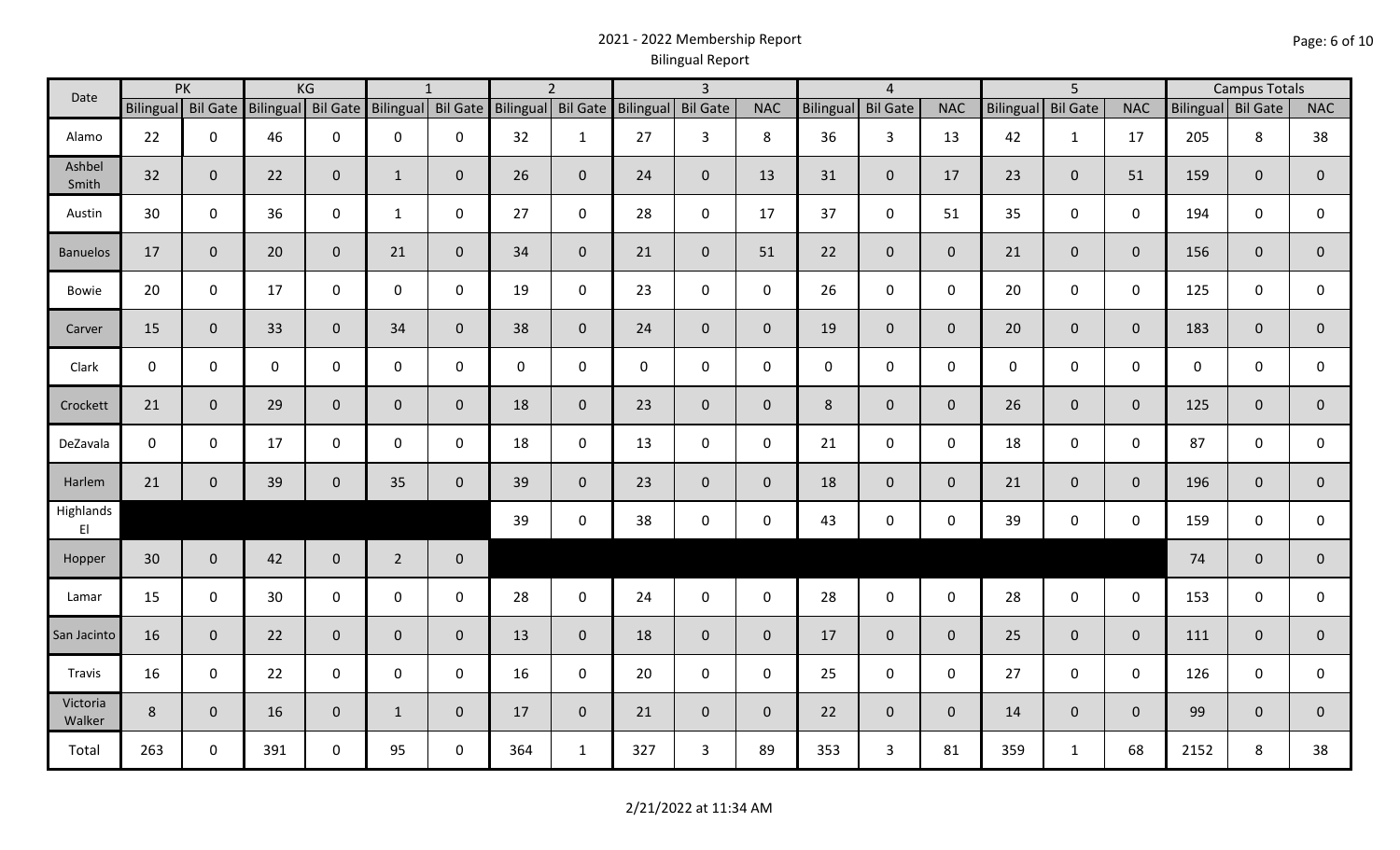# 2021 - 2022 Membership Report Bilingual Report

| Date               |                 | PK                 |             | KG                 |                | $\mathbf{1}$       |                    | $\overline{2}$ |                    | $\overline{3}$ |              |              | $\overline{4}$  |                     | 5 <sup>5</sup>   |                 | <b>Campus Totals</b> |                    |                |                |
|--------------------|-----------------|--------------------|-------------|--------------------|----------------|--------------------|--------------------|----------------|--------------------|----------------|--------------|--------------|-----------------|---------------------|------------------|-----------------|----------------------|--------------------|----------------|----------------|
|                    |                 | Bilingual Bil Gate |             | Bilingual Bil Gate |                | Bilingual Bil Gate | Bilingual Bil Gate |                | Bilingual Bil Gate |                | <b>NAC</b>   | Bilingual    | <b>Bil Gate</b> | <b>NAC</b>          | <b>Bilingual</b> | <b>Bil Gate</b> | <b>NAC</b>           | Bilingual Bil Gate |                | <b>NAC</b>     |
| Alamo              | 22              | $\mathbf 0$        | 46          | $\mathbf 0$        | $\mathbf 0$    | 0                  | 32                 | $\mathbf{1}$   | 27                 | 3              | 8            | 36           | $\mathbf{3}$    | 13                  | 42               | $\mathbf{1}$    | 17                   | 205                | 8              | 38             |
| Ashbel<br>Smith    | 32              | $\mathbf{0}$       | 22          | $\mathbf 0$        | $\mathbf{1}$   | $\mathbf 0$        | 26                 | $\overline{0}$ | 24                 | $\mathbf 0$    | 13           | 31           | $\mathbf 0$     | 17                  | 23               | $\mathbf{0}$    | 51                   | 159                | $\mathbf{0}$   | $\mathbf 0$    |
| Austin             | 30              | $\mathbf 0$        | 36          | $\mathsf 0$        | $\mathbf{1}$   | $\mathbf 0$        | 27                 | $\mathbf 0$    | 28                 | $\mathbf 0$    | 17           | 37           | $\mathbf 0$     | 51                  | 35               | $\mathbf 0$     | $\mathbf 0$          | 194                | $\mathbf 0$    | 0              |
| <b>Banuelos</b>    | 17              | $\mathbf 0$        | 20          | $\mathbf 0$        | 21             | $\mathbf{0}$       | 34                 | $\overline{0}$ | 21                 | $\mathbf 0$    | 51           | 22           | $\overline{0}$  | $\mathbf{0}$        | 21               | $\overline{0}$  | $\mathbf{0}$         | 156                | $\mathbf{0}$   | $\mathbf 0$    |
| Bowie              | 20              | $\mathbf 0$        | 17          | $\mathbf 0$        | 0              | 0                  | 19                 | $\mathbf 0$    | 23                 | $\mathbf 0$    | $\mathbf 0$  | 26           | $\mathbf 0$     | $\mathbf 0$         | 20               | $\mathbf 0$     | $\mathbf 0$          | 125                | $\mathbf 0$    | 0              |
| Carver             | 15              | $\mathbf 0$        | 33          | $\overline{0}$     | 34             | $\mathbf{0}$       | 38                 | $\overline{0}$ | 24                 | $\mathbf 0$    | $\mathbf 0$  | 19           | $\overline{0}$  | $\overline{0}$      | 20               | $\overline{0}$  | $\mathbf{0}$         | 183                | $\overline{0}$ | $\mathbf 0$    |
| Clark              | $\mathbf 0$     | $\mathbf 0$        | $\mathbf 0$ | $\mathsf 0$        | 0              | $\mathbf{0}$       | $\mathbf{0}$       | $\mathbf{0}$   | $\boldsymbol{0}$   | $\mathbf 0$    | $\mathbf 0$  | $\mathbf{0}$ | $\mathsf 0$     | $\mathbf 0$         | $\mathbf 0$      | $\mathbf 0$     | $\mathbf 0$          | $\mathbf 0$        | $\mathbf 0$    | 0              |
| Crockett           | 21              | $\mathbf{0}$       | 29          | $\mathbf 0$        | $\mathbf{0}$   | $\mathbf{0}$       | 18                 | $\overline{0}$ | 23                 | $\mathbf 0$    | $\mathbf{0}$ | 8            | $\overline{0}$  | $\overline{0}$      | 26               | $\Omega$        | $\overline{0}$       | 125                | $\mathbf{0}$   | $\mathbf{0}$   |
| DeZavala           | $\mathbf 0$     | $\mathbf 0$        | 17          | $\mathbf 0$        | 0              | $\mathbf 0$        | 18                 | $\mathbf 0$    | 13                 | $\mathbf 0$    | $\mathbf 0$  | 21           | $\mathbf 0$     | $\mathbf 0$         | 18               | $\mathbf 0$     | $\mathbf 0$          | 87                 | 0              | $\mathsf{O}$   |
| Harlem             | 21              | $\mathbf{0}$       | 39          | $\mathbf 0$        | 35             | $\mathbf{0}$       | 39                 | $\overline{0}$ | 23                 | $\mathbf 0$    | $\mathbf 0$  | 18           | $\overline{0}$  | $\mathbf{0}$        | 21               | $\mathbf{0}$    | $\overline{0}$       | 196                | $\mathbf 0$    | $\mathbf{0}$   |
| Highlands<br>EI    |                 |                    |             |                    |                |                    | 39                 | $\mathbf 0$    | 38                 | $\mathbf 0$    | $\mathbf 0$  | 43           | $\mathbf 0$     | $\mathsf{O}\xspace$ | 39               | $\mathbf 0$     | $\mathbf 0$          | 159                | $\mathbf 0$    | 0              |
| Hopper             | 30 <sup>°</sup> | $\mathbf{0}$       | 42          | $\overline{0}$     | $\overline{2}$ | $\mathbf 0$        |                    |                |                    |                |              |              |                 |                     |                  |                 |                      | 74                 | $\mathbf{0}$   | $\overline{0}$ |
| Lamar              | 15              | $\mathbf 0$        | 30          | $\mathbf 0$        | $\mathbf 0$    | $\mathbf 0$        | 28                 | $\mathbf 0$    | 24                 | $\mathbf 0$    | $\mathbf 0$  | 28           | $\mathbf 0$     | $\mathbf 0$         | 28               | $\mathbf 0$     | $\mathbf 0$          | 153                | $\mathbf 0$    | 0              |
| San Jacinto        | 16              | $\mathbf{0}$       | 22          | $\overline{0}$     | $\mathbf{0}$   | $\mathbf{0}$       | 13                 | $\overline{0}$ | 18                 | $\overline{0}$ | $\mathbf{0}$ | 17           | $\overline{0}$  | $\overline{0}$      | 25               | $\overline{0}$  | $\overline{0}$       | 111                | $\mathbf 0$    | $\mathbf 0$    |
| Travis             | 16              | $\mathbf 0$        | 22          | $\mathbf 0$        | $\mathbf 0$    | $\mathbf 0$        | 16                 | $\mathbf 0$    | 20                 | $\mathbf 0$    | $\mathbf 0$  | 25           | $\mathbf 0$     | $\mathbf 0$         | 27               | $\mathbf 0$     | $\mathbf 0$          | 126                | $\mathbf 0$    | 0              |
| Victoria<br>Walker | 8               | $\mathbf 0$        | 16          | $\overline{0}$     | $\mathbf{1}$   | $\mathbf 0$        | 17                 | $\overline{0}$ | 21                 | $\mathbf 0$    | $\mathbf{0}$ | 22           | $\overline{0}$  | $\overline{0}$      | 14               | $\mathbf{0}$    | $\overline{0}$       | 99                 | $\mathbf{0}$   | $\mathbf{0}$   |
| Total              | 263             | $\mathbf 0$        | 391         | $\mathbf 0$        | 95             | $\mathbf 0$        | 364                | $\mathbf{1}$   | 327                | 3              | 89           | 353          | $\mathbf{3}$    | 81                  | 359              | $\mathbf{1}$    | 68                   | 2152               | 8              | 38             |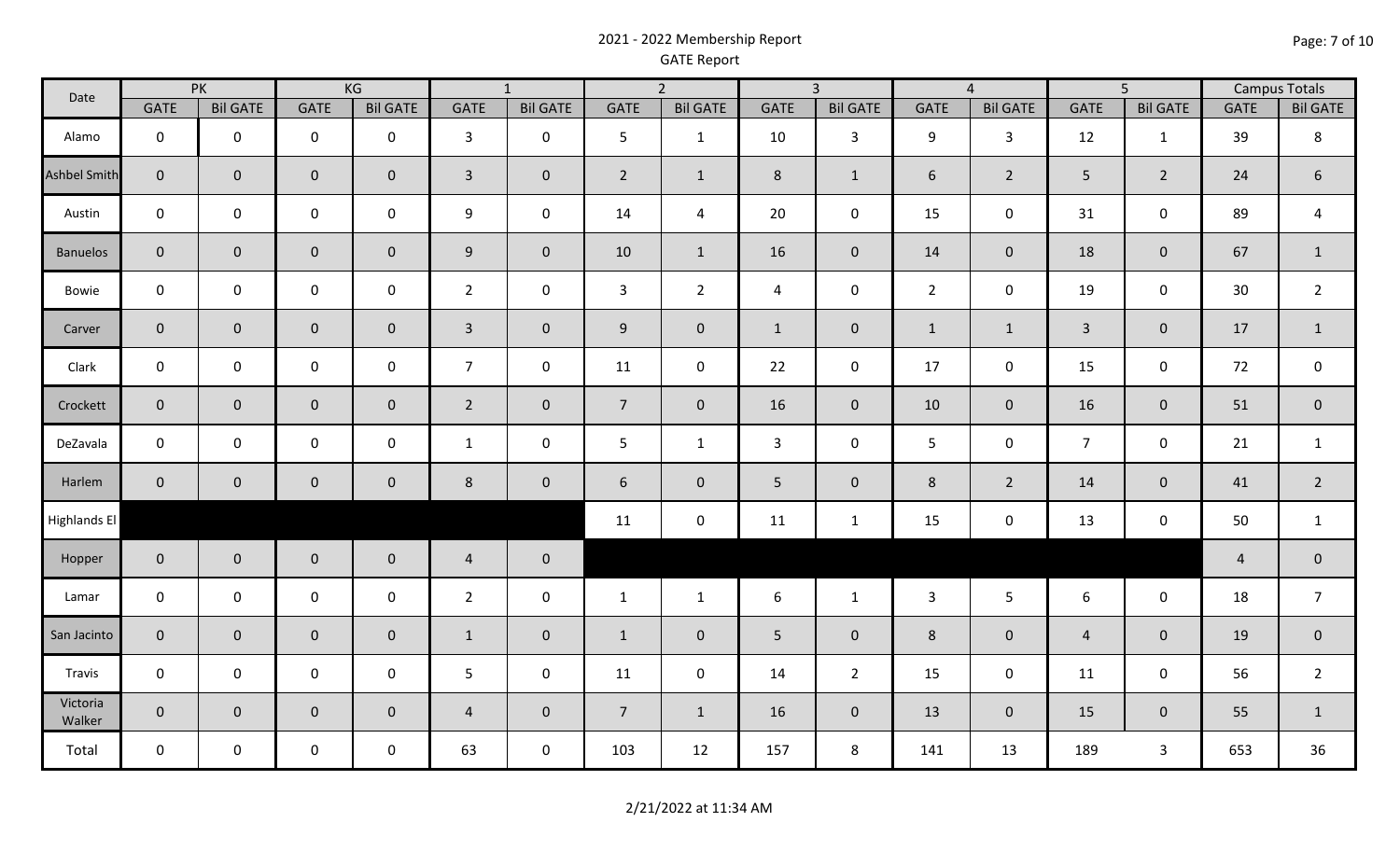# 2021 - 2022 Membership Report GATE Report

| Date                |                     | PK              |                | KG                  |                | $\overline{1}$      |                 | $\overline{2}$      |                | $\overline{3}$  |                 | $\overline{4}$  |                | $\overline{5}$      |                | <b>Campus Totals</b> |
|---------------------|---------------------|-----------------|----------------|---------------------|----------------|---------------------|-----------------|---------------------|----------------|-----------------|-----------------|-----------------|----------------|---------------------|----------------|----------------------|
|                     | <b>GATE</b>         | <b>Bil GATE</b> | <b>GATE</b>    | <b>Bil GATE</b>     | <b>GATE</b>    | <b>Bil GATE</b>     | <b>GATE</b>     | <b>Bil GATE</b>     | <b>GATE</b>    | <b>Bil GATE</b> | <b>GATE</b>     | <b>Bil GATE</b> | <b>GATE</b>    | <b>Bil GATE</b>     | <b>GATE</b>    | <b>Bil GATE</b>      |
| Alamo               | $\mathbf 0$         | $\mathbf 0$     | $\mathbf 0$    | $\mathbf 0$         | $\mathbf{3}$   | $\mathbf 0$         | 5               | $\mathbf{1}$        | 10             | 3               | 9               | $\mathbf{3}$    | 12             | $\mathbf{1}$        | 39             | $\,8\,$              |
| <b>Ashbel Smith</b> | $\mathbf 0$         | $\mathbf 0$     | $\mathbf{0}$   | $\overline{0}$      | $\mathbf{3}$   | $\pmb{0}$           | $\overline{2}$  | $\mathbf{1}$        | 8              | $\mathbf{1}$    | $6\overline{6}$ | $2^{\circ}$     | 5 <sup>1</sup> | $\overline{2}$      | 24             | 6                    |
| Austin              | $\mathbf 0$         | $\mathbf 0$     | $\mathbf 0$    | $\mathbf 0$         | 9              | $\mathbf 0$         | 14              | $\overline{a}$      | 20             | $\mathbf 0$     | 15              | $\mathbf 0$     | 31             | $\mathbf 0$         | 89             | $\overline{a}$       |
| <b>Banuelos</b>     | $\mathbf 0$         | $\mathbf{0}$    | $\overline{0}$ | $\overline{0}$      | 9              | $\mathbf 0$         | 10              | $\mathbf{1}$        | 16             | $\mathbf{0}$    | 14              | $\overline{0}$  | 18             | $\mathbf 0$         | 67             | $\mathbf{1}$         |
| Bowie               | $\mathsf 0$         | $\mathbf 0$     | $\mathbf 0$    | $\mathsf{O}$        | $\overline{2}$ | $\mathsf 0$         | $\mathbf{3}$    | $2^{\circ}$         | $\overline{4}$ | $\mathbf 0$     | $\overline{2}$  | $\mathbf 0$     | 19             | $\mathsf{O}\xspace$ | 30             | $\overline{2}$       |
| Carver              | $\mathbf 0$         | $\mathbf 0$     | $\mathbf{0}$   | $\mathsf{O}\xspace$ | $\overline{3}$ | $\mathsf{O}\xspace$ | 9               | $\mathsf{O}\xspace$ | $\mathbf{1}$   | $\mathbf 0$     | $\mathbf{1}$    | $\mathbf{1}$    | $\overline{3}$ | $\mathsf{O}\xspace$ | $17\,$         | $\mathbf{1}$         |
| Clark               | $\mathbf 0$         | $\mathsf{O}$    | $\mathsf{O}$   | $\mathbf 0$         | $\overline{7}$ | $\mathbf 0$         | 11              | $\mathsf{O}\xspace$ | 22             | $\mathbf 0$     | 17              | $\mathbf 0$     | 15             | $\mathsf{O}\xspace$ | 72             | $\mathbf 0$          |
| Crockett            | $\mathbf 0$         | $\mathbf{0}$    | $\mathbf 0$    | $\overline{0}$      | $\overline{2}$ | $\pmb{0}$           | $7\overline{ }$ | $\overline{0}$      | 16             | $\overline{0}$  | 10              | $\overline{0}$  | 16             | $\pmb{0}$           | 51             | $\mathbf 0$          |
| DeZavala            | $\mathbf 0$         | $\mathbf 0$     | $\mathsf{O}$   | $\mathbf 0$         | $\mathbf{1}$   | $\mathsf 0$         | 5               | $\mathbf{1}$        | $\mathbf{3}$   | $\mathbf 0$     | 5               | $\mathbf 0$     | $\overline{7}$ | $\mathsf{O}\xspace$ | 21             | $\mathbf{1}$         |
| Harlem              | $\mathbf 0$         | $\mathbf 0$     | $\overline{0}$ | $\mathbf 0$         | 8              | $\mathbf 0$         | 6               | $\mathbf{0}$        | 5              | $\mathbf 0$     | 8               | $\overline{2}$  | 14             | $\pmb{0}$           | 41             | $\overline{2}$       |
| <b>Highlands El</b> |                     |                 |                |                     |                |                     | 11              | $\pmb{0}$           | 11             | $\mathbf{1}$    | 15              | $\mathbf 0$     | 13             | $\mathsf{O}\xspace$ | 50             | $\mathbf{1}$         |
| Hopper              | $\mathbf 0$         | $\mathbf 0$     | $\overline{0}$ | $\mathbf 0$         | $\overline{4}$ | $\pmb{0}$           |                 |                     |                |                 |                 |                 |                |                     | $\overline{a}$ | $\mathbf 0$          |
| Lamar               | $\mathsf 0$         | $\mathbf 0$     | $\mathbf 0$    | $\mathbf 0$         | $\overline{2}$ | $\mathsf 0$         | $\mathbf{1}$    | $\mathbf{1}$        | 6              | $\mathbf{1}$    | $\mathbf{3}$    | $5\phantom{.}$  | 6              | $\mathsf{O}\xspace$ | 18             | $\overline{7}$       |
| San Jacinto         | $\mathbf 0$         | $\mathbf 0$     | $\overline{0}$ | $\mathbf{0}$        | $\mathbf{1}$   | $\mathbf 0$         | $\mathbf{1}$    | $\mathbf{0}$        | 5              | $\mathbf 0$     | 8               | $\overline{0}$  | $\overline{4}$ | $\mathbf 0$         | 19             | $\mathbf 0$          |
| Travis              | $\mathsf{O}\xspace$ | $\mathsf{O}$    | $\mathbf 0$    | $\mathbf 0$         | 5 <sub>5</sub> | $\mathsf 0$         | 11              | $\mathsf{O}\xspace$ | 14             | $\overline{2}$  | 15              | $\mathbf 0$     | 11             | $\mathsf{O}\xspace$ | 56             | $\overline{2}$       |
| Victoria<br>Walker  | $\mathsf{O}\xspace$ | $\overline{0}$  | $\overline{0}$ | $\mathbf 0$         | $\overline{4}$ | $\mathbf 0$         | $\overline{7}$  | $\mathbf{1}$        | 16             | $\overline{0}$  | 13              | $\overline{0}$  | 15             | $\mathbf 0$         | 55             | $\mathbf{1}$         |
| Total               | $\mathbf 0$         | $\mathbf 0$     | $\mathbf 0$    | $\mathbf 0$         | 63             | $\pmb{0}$           | 103             | 12                  | 157            | 8               | 141             | 13              | 189            | $\overline{3}$      | 653            | 36                   |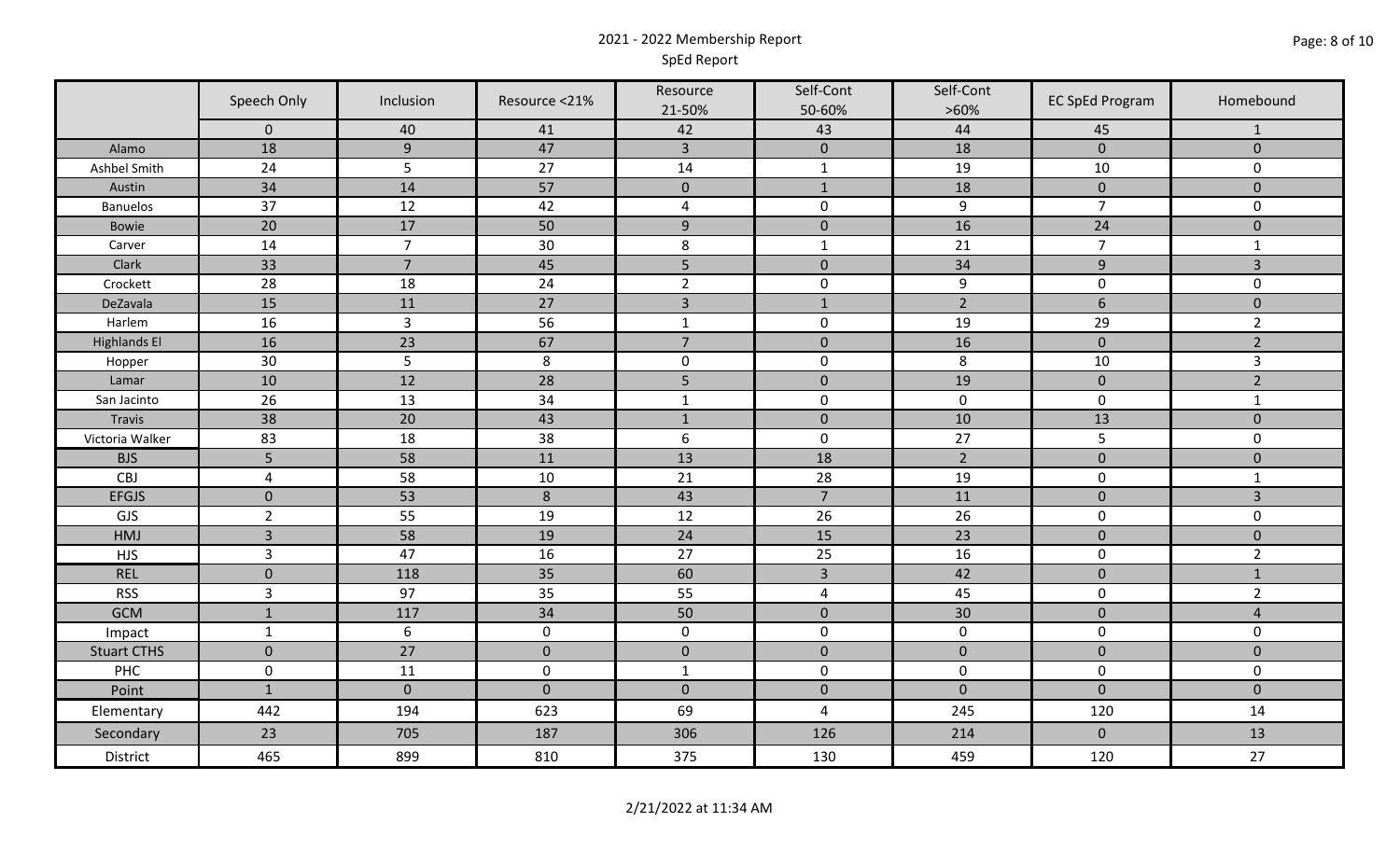## 2021 - 2022 Membership Report SpEd Report

|                     | Speech Only    | Inclusion        | Resource <21%   | Resource<br>21-50% | Self-Cont<br>50-60% | Self-Cont<br>$>60\%$ | <b>EC SpEd Program</b> | Homebound      |
|---------------------|----------------|------------------|-----------------|--------------------|---------------------|----------------------|------------------------|----------------|
|                     | $\mathbf 0$    | 40               | 41              | 42                 | 43                  | 44                   | 45                     | -1             |
| Alamo               | 18             | $9\,$            | 47              | $\overline{3}$     | $\pmb{0}$           | 18                   | $\mathbf{0}$           | $\mathbf{0}$   |
| Ashbel Smith        | 24             | 5                | 27              | 14                 | $\mathbf{1}$        | 19                   | 10                     | $\mathbf 0$    |
| Austin              | 34             | 14               | 57              | $\mathbf{0}$       | $\mathbf{1}$        | 18                   | $\mathbf{0}$           | $\mathbf{0}$   |
| <b>Banuelos</b>     | 37             | 12               | 42              | 4                  | $\mathbf 0$         | $9\,$                | $\overline{7}$         | $\mathbf 0$    |
| Bowie               | 20             | 17               | 50              | $\overline{9}$     | $\mathbf 0$         | 16                   | 24                     | $\pmb{0}$      |
| Carver              | 14             | $\overline{7}$   | $30\,$          | 8                  | $\mathbf{1}$        | 21                   | $\overline{7}$         | $\mathbf{1}$   |
| Clark               | 33             | $\overline{7}$   | 45              | 5                  | $\mathbf{0}$        | 34                   | 9                      | $\overline{3}$ |
| Crockett            | 28             | 18               | 24              | $\overline{2}$     | $\mathbf 0$         | 9                    | $\mathbf 0$            | $\mathbf 0$    |
| DeZavala            | 15             | 11               | 27              | $\overline{3}$     | $1\,$               | $\overline{2}$       | $6\phantom{a}$         | $\mathbf{0}$   |
| Harlem              | 16             | $\overline{3}$   | 56              | $\mathbf 1$        | $\mathbf 0$         | 19                   | 29                     | $\overline{2}$ |
| <b>Highlands El</b> | 16             | 23               | 67              | $\overline{7}$     | $\pmb{0}$           | 16                   | $\mathbf 0$            | $\overline{2}$ |
| Hopper              | 30             | 5                | 8               | $\mathbf 0$        | $\mathbf 0$         | 8                    | $10\,$                 | $\mathbf{3}$   |
| Lamar               | 10             | 12               | $\overline{28}$ | 5                  | $\mathbf 0$         | 19                   | $\mathbf 0$            | $\overline{2}$ |
| San Jacinto         | 26             | 13               | 34              | $\mathbf 1$        | $\mathbf 0$         | $\mathbf 0$          | $\mathbf 0$            | $\mathbf{1}$   |
| Travis              | 38             | 20               | 43              | $\mathbf 1$        | $\mathbf 0$         | 10                   | 13                     | $\mathbf{0}$   |
| Victoria Walker     | 83             | 18               | 38              | $\boldsymbol{6}$   | $\mathsf{O}\xspace$ | 27                   | $5\phantom{.}$         | $\mathbf 0$    |
| <b>BJS</b>          | 5              | 58               | 11              | 13                 | 18                  | $\overline{2}$       | $\mathbf 0$            | $\mathbf 0$    |
| CBJ                 | $\sqrt{4}$     | 58               | $10\,$          | 21                 | 28                  | 19                   | $\mathbf 0$            | $\mathbf{1}$   |
| <b>EFGJS</b>        | $\mathbf 0$    | 53               | $\,8\,$         | 43                 | $\overline{7}$      | 11                   | $\mathbf 0$            | $\overline{3}$ |
| GJS                 | $\overline{2}$ | 55               | 19              | 12                 | 26                  | 26                   | $\mathbf 0$            | $\mathbf 0$    |
| HMJ                 | $\overline{3}$ | 58               | 19              | $24\,$             | 15                  | 23                   | $\mathbf 0$            | $\mathbf 0$    |
| <b>HJS</b>          | $\mathsf{3}$   | 47               | 16              | 27                 | 25                  | 16                   | $\mathbf 0$            | $\overline{2}$ |
| <b>REL</b>          | $\mathbf 0$    | 118              | 35              | 60                 | $\overline{3}$      | 42                   | $\mathbf 0$            | $\mathbf{1}$   |
| <b>RSS</b>          | $\overline{3}$ | 97               | 35              | 55                 | 4                   | 45                   | $\mathbf 0$            | $\overline{2}$ |
| <b>GCM</b>          | $\mathbf 1$    | 117              | 34              | 50                 | $\mathbf 0$         | 30                   | $\pmb{0}$              | $\overline{4}$ |
| Impact              | $\mathbf{1}$   | $\boldsymbol{6}$ | $\mathbf 0$     | $\mathbf 0$        | $\mathbf 0$         | $\mathbf 0$          | $\mathbf 0$            | $\mathbf 0$    |
| <b>Stuart CTHS</b>  | $\mathbf 0$    | 27               | $\mathbf 0$     | $\mathbf 0$        | $\mathbf 0$         | $\mathbf{0}$         | $\mathbf{0}$           | $\mathbf{0}$   |
| PHC                 | $\pmb{0}$      | 11               | $\pmb{0}$       | $\mathbf{1}$       | $\mathbf 0$         | $\mathbf 0$          | $\mathbf 0$            | $\mathbf 0$    |
| Point               | $\mathbf{1}$   | $\mathbf 0$      | $\mathbf 0$     | $\mathbf 0$        | $\mathbf 0$         | $\mathbf{0}$         | $\mathbf{0}$           | $\mathbf{0}$   |
| Elementary          | 442            | 194              | 623             | 69                 | 4                   | 245                  | 120                    | 14             |
| Secondary           | 23             | 705              | 187             | 306                | 126                 | 214                  | $\mathbf 0$            | 13             |
| District            | 465            | 899              | 810             | 375                | 130                 | 459                  | 120                    | 27             |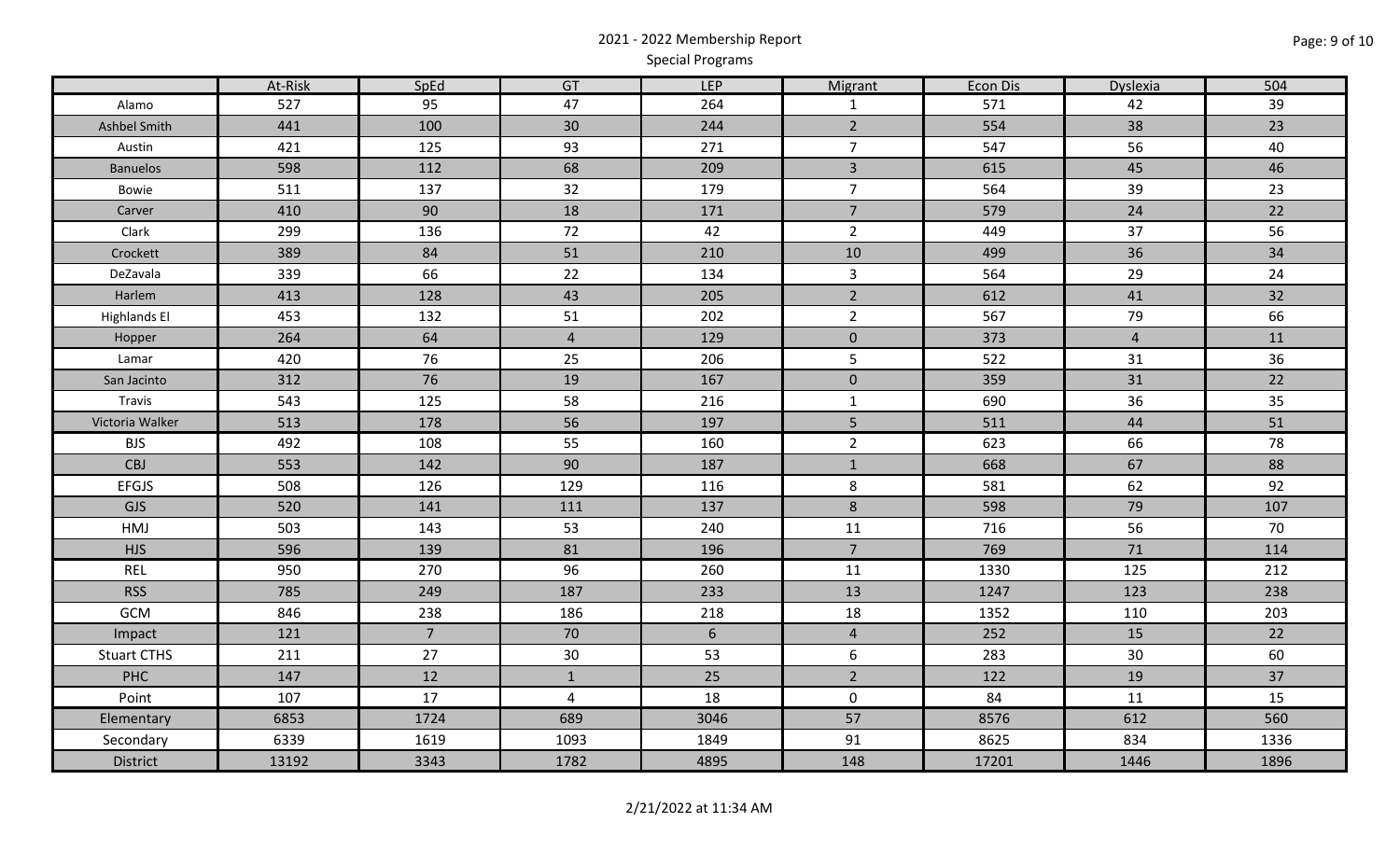# 2021 - 2022 Membership Report Special Programs

|                     | At-Risk | SpEd           | GT              | LEP             | Migrant        | <b>Econ Dis</b> | Dyslexia       | 504  |
|---------------------|---------|----------------|-----------------|-----------------|----------------|-----------------|----------------|------|
| Alamo               | 527     | 95             | 47              | 264             | $\mathbf{1}$   | 571             | 42             | 39   |
| Ashbel Smith        | 441     | 100            | 30 <sup>°</sup> | 244             | $\overline{2}$ | 554             | 38             | 23   |
| Austin              | 421     | 125            | 93              | 271             | $\overline{7}$ | 547             | 56             | 40   |
| <b>Banuelos</b>     | 598     | 112            | 68              | 209             | $\overline{3}$ | 615             | 45             | 46   |
| Bowie               | 511     | 137            | 32              | 179             | $\overline{7}$ | 564             | 39             | 23   |
| Carver              | 410     | 90             | 18              | 171             | $\overline{7}$ | 579             | 24             | 22   |
| Clark               | 299     | 136            | 72              | 42              | $\overline{2}$ | 449             | 37             | 56   |
| Crockett            | 389     | 84             | 51              | 210             | 10             | 499             | 36             | 34   |
| DeZavala            | 339     | 66             | 22              | 134             | $\mathbf{3}$   | 564             | 29             | 24   |
| Harlem              | 413     | 128            | 43              | 205             | $\overline{2}$ | 612             | 41             | 32   |
| <b>Highlands El</b> | 453     | 132            | 51              | 202             | $\overline{2}$ | 567             | 79             | 66   |
| Hopper              | 264     | 64             | $\overline{4}$  | 129             | $\mathbf 0$    | 373             | $\overline{4}$ | 11   |
| Lamar               | 420     | 76             | 25              | 206             | 5              | 522             | 31             | 36   |
| San Jacinto         | 312     | 76             | 19              | 167             | $\mathbf 0$    | 359             | 31             | 22   |
| Travis              | 543     | 125            | 58              | 216             | $\mathbf{1}$   | 690             | 36             | 35   |
| Victoria Walker     | 513     | 178            | 56              | 197             | 5              | 511             | 44             | 51   |
| <b>BJS</b>          | 492     | 108            | 55              | 160             | $2^{\circ}$    | 623             | 66             | 78   |
| CBJ                 | 553     | 142            | 90              | 187             | $\mathbf{1}$   | 668             | 67             | 88   |
| <b>EFGJS</b>        | 508     | 126            | 129             | 116             | $\bf 8$        | 581             | 62             | 92   |
| <b>GJS</b>          | 520     | 141            | 111             | 137             | $\,8\,$        | 598             | 79             | 107  |
| HMJ                 | 503     | 143            | 53              | 240             | 11             | 716             | 56             | 70   |
| <b>HJS</b>          | 596     | 139            | 81              | 196             | $\overline{7}$ | 769             | 71             | 114  |
| <b>REL</b>          | 950     | 270            | 96              | 260             | 11             | 1330            | 125            | 212  |
| <b>RSS</b>          | 785     | 249            | 187             | 233             | 13             | 1247            | 123            | 238  |
| GCM                 | 846     | 238            | 186             | 218             | 18             | 1352            | 110            | 203  |
| Impact              | 121     | 7 <sup>7</sup> | 70              | $6\overline{6}$ | $\overline{4}$ | 252             | 15             | 22   |
| <b>Stuart CTHS</b>  | 211     | 27             | 30              | 53              | $6\,$          | 283             | 30             | 60   |
| <b>PHC</b>          | 147     | 12             | $\mathbf{1}$    | 25              | $\overline{2}$ | 122             | 19             | 37   |
| Point               | 107     | 17             | $\overline{4}$  | 18              | $\mathbf 0$    | 84              | 11             | 15   |
| Elementary          | 6853    | 1724           | 689             | 3046            | 57             | 8576            | 612            | 560  |
| Secondary           | 6339    | 1619           | 1093            | 1849            | 91             | 8625            | 834            | 1336 |
| <b>District</b>     | 13192   | 3343           | 1782            | 4895            | 148            | 17201           | 1446           | 1896 |